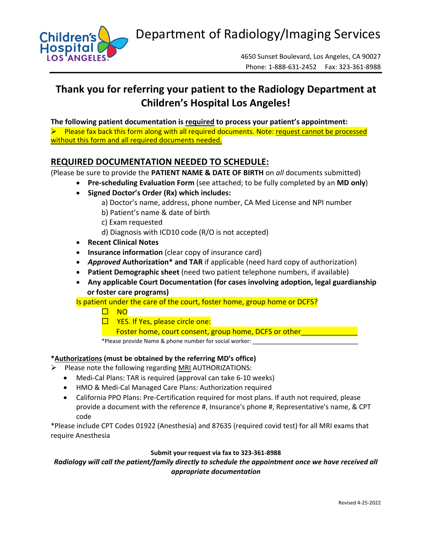

# **Thank you for referring your patient to the Radiology Department at Children's Hospital Los Angeles!**

**The following patient documentation is required to process your patient's appointment:** 

 $\triangleright$  Please fax back this form along with all required documents. Note: request cannot be processed without this form and all required documents needed.

## **REQUIRED DOCUMENTATION NEEDED TO SCHEDULE:**

(Please be sure to provide the **PATIENT NAME & DATE OF BIRTH** on *all* documents submitted)

- **Pre‐scheduling Evaluation Form** (see attached; to be fully completed by an **MD only**)
	- **Signed Doctor's Order (Rx) which includes:** 
		- a) Doctor's name, address, phone number, CA Med License and NPI number
		- b) Patient's name & date of birth
		- c) Exam requested
		- d) Diagnosis with ICD10 code (R/O is not accepted)
	- **Recent Clinical Notes**
	- **Insurance information** (clear copy of insurance card)
	- *Approved* **Authorization\* and TAR** if applicable (need hard copy of authorization)
	- **Patient Demographic sheet** (need two patient telephone numbers, if available)
	- **Any applicable Court Documentation (for cases involving adoption, legal guardianship or foster care programs)**

Is patient under the care of the court, foster home, group home or DCFS?

 $\Box$  NO

 $\Box$  YES. If Yes, please circle one:

Foster home, court consent, group home, DCFS or other

\*Please provide Name & phone number for social worker: \_\_\_\_\_\_\_\_\_\_\_\_\_\_\_\_\_\_\_\_\_\_\_\_\_\_\_\_\_\_

#### **\*Authorizations (must be obtained by the referring MD's office)**

- $\triangleright$  Please note the following regarding MRI AUTHORIZATIONS:
	- Medi-Cal Plans: TAR is required (approval can take 6-10 weeks)
	- HMO & Medi-Cal Managed Care Plans: Authorization required
	- California PPO Plans: Pre-Certification required for most plans. If auth not required, please provide a document with the reference #, Insurance's phone #, Representative's name, & CPT code

\*Please include CPT Codes 01922 (Anesthesia) and 87635 (required covid test) for all MRI exams that require Anesthesia

#### **Submit your request via fax to 323‐361‐8988**

#### *Radiology will call the patient/family directly to schedule the appointment once we have received all appropriate documentation*